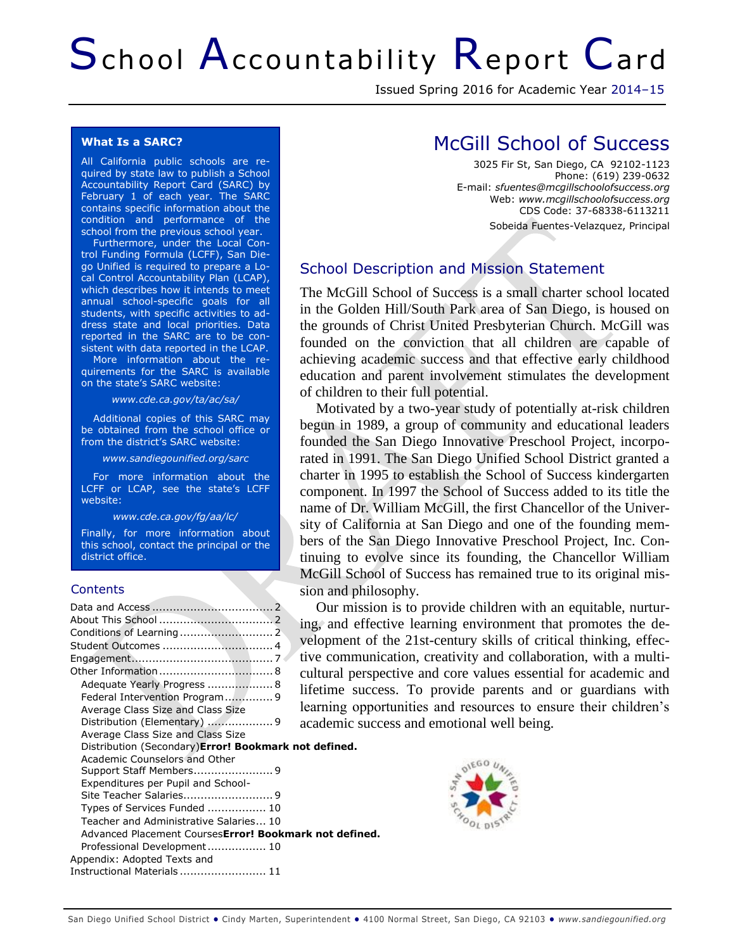# School Accountability Report Card

Issued Spring 2016 for Academic Year 2014–15

#### **What Is a SARC?**

All California public schools are required by state law to publish a School Accountability Report Card (SARC) by February 1 of each year. The SARC contains specific information about the condition and performance of the school from the previous school year.

Furthermore, under the Local Control Funding Formula (LCFF), San Diego Unified is required to prepare a Local Control Accountability Plan (LCAP), which describes how it intends to meet annual school-specific goals for all students, with specific activities to address state and local priorities. Data reported in the SARC are to be consistent with data reported in the LCAP.

More information about the requirements for the SARC is available on the state's SARC website:

*www.cde.ca.gov/ta/ac/sa/*

Additional copies of this SARC may be obtained from the school office or from the district's SARC website:

*www.sandiegounified.org/sarc*

For more information about the LCFF or LCAP, see the state's LCFF website:

*www.cde.ca.gov/fg/aa/lc/*

Finally, for more information about this school, contact the principal or the district office.

#### **Contents**

|                                                                                                                                                                                                                                                    | Our missio<br>ing, and effec<br>velopment of                                       |
|----------------------------------------------------------------------------------------------------------------------------------------------------------------------------------------------------------------------------------------------------|------------------------------------------------------------------------------------|
| Adequate Yearly Progress  8<br>Federal Intervention Program 9<br>Average Class Size and Class Size<br>Distribution (Elementary) 9                                                                                                                  | tive communi<br>cultural persp<br>lifetime succe<br>learning oppo<br>academic succ |
| Average Class Size and Class Size<br>Distribution (Secondary) <b>Error! Bookmark not defined.</b><br>Academic Counselors and Other<br>Expenditures per Pupil and School-<br>Types of Services Funded  10<br>Teacher and Administrative Salaries 10 |                                                                                    |
| Advanced Placement Courses Error! Bookmark not defined.<br>Professional Development 10<br>Appendix: Adopted Texts and<br>Instructional Materials  11                                                                                               |                                                                                    |

# McGill School of Success

3025 Fir St, San Diego, CA 92102-1123 Phone: (619) 239-0632 E-mail: *sfuentes@mcgillschoolofsuccess.org* Web: *www.mcgillschoolofsuccess.org* CDS Code: 37-68338-6113211 Sobeida Fuentes-Velazquez, Principal

## School Description and Mission Statement

The McGill School of Success is a small charter school located in the Golden Hill/South Park area of San Diego, is housed on the grounds of Christ United Presbyterian Church. McGill was founded on the conviction that all children are capable of achieving academic success and that effective early childhood education and parent involvement stimulates the development of children to their full potential.

Motivated by a two-year study of potentially at-risk children begun in 1989, a group of community and educational leaders founded the San Diego Innovative Preschool Project, incorporated in 1991. The San Diego Unified School District granted a charter in 1995 to establish the School of Success kindergarten component. In 1997 the School of Success added to its title the name of Dr. William McGill, the first Chancellor of the University of California at San Diego and one of the founding members of the San Diego Innovative Preschool Project, Inc. Continuing to evolve since its founding, the Chancellor William McGill School of Success has remained true to its original mission and philosophy.

mission is to provide children with an equitable, nurturing, and effective learning environment that promotes the denent of the 21st-century skills of critical thinking, effecommunication, creativity and collaboration, with a multial perspective and core values essential for academic and le success. To provide parents and or guardians with ng opportunities and resources to ensure their children's mic success and emotional well being.

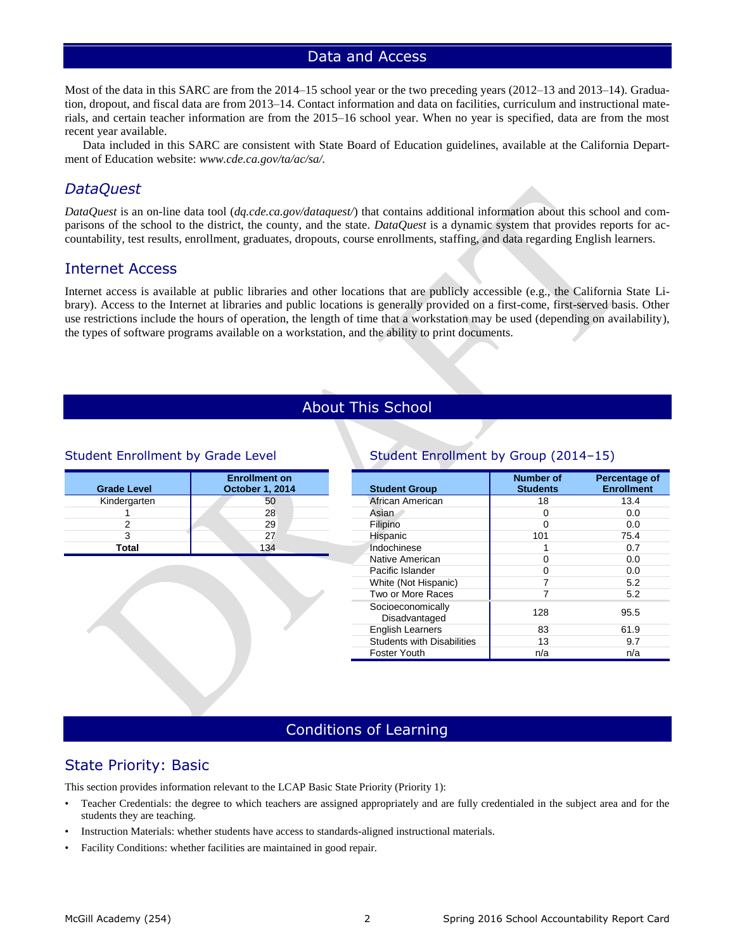## Data and Access

Most of the data in this SARC are from the 2014–15 school year or the two preceding years (2012–13 and 2013–14). Graduation, dropout, and fiscal data are from 2013–14. Contact information and data on facilities, curriculum and instructional materials, and certain teacher information are from the 2015–16 school year. When no year is specified, data are from the most recent year available.

Data included in this SARC are consistent with State Board of Education guidelines, available at the California Department of Education website: *www.cde.ca.gov/ta/ac/sa/.*

## *DataQuest*

*DataQuest* is an on-line data tool (*dq.cde.ca.gov/dataquest/*) that contains additional information about this school and comparisons of the school to the district, the county, and the state. *DataQuest* is a dynamic system that provides reports for accountability, test results, enrollment, graduates, dropouts, course enrollments, staffing, and data regarding English learners.

## [Internet Access](http://www.cde.ca.gov/ta/ac/sa/def08internet.asp)

Internet access is available at public libraries and other locations that are publicly accessible (e.g., the California State Library). Access to the Internet at libraries and public locations is generally provided on a first-come, first-served basis. Other use restrictions include the hours of operation, the length of time that a workstation may be used (depending on availability), the types of software programs available on a workstation, and the ability to print documents.

## About This School

#### Student Enrollment by Grade Level

| <b>Grade Level</b> | <b>Enrollment on</b><br>October 1, 2014 |
|--------------------|-----------------------------------------|
| Kindergarten       | 50                                      |
|                    | 28                                      |
|                    | 29                                      |
|                    | 27                                      |
| Total              | 134                                     |

## Student Enrollment by Group (2014–15)

| <b>Student Group</b>               | <b>Number of</b><br><b>Students</b> | Percentage of<br><b>Enrollment</b> |
|------------------------------------|-------------------------------------|------------------------------------|
| African American                   | 18                                  | 13.4                               |
| Asian                              | O                                   | 0.0                                |
| Filipino                           | ∩                                   | 0.0                                |
| Hispanic                           | 101                                 | 75.4                               |
| Indochinese                        | 1                                   | 0.7                                |
| Native American                    | O                                   | 0.0                                |
| Pacific Islander                   | U                                   | 0.0                                |
| White (Not Hispanic)               | 7                                   | 5.2                                |
| Two or More Races                  | 7                                   | 5.2                                |
| Socioeconomically<br>Disadvantaged | 128                                 | 95.5                               |
| <b>English Learners</b>            | 83                                  | 61.9                               |
| <b>Students with Disabilities</b>  | 13                                  | 9.7                                |
| Foster Youth                       | n/a                                 | n/a                                |

## Conditions of Learning

## State Priority: Basic

This section provides information relevant to the LCAP Basic State Priority (Priority 1):

- Teacher Credentials: the degree to which teachers are assigned appropriately and are fully credentialed in the subject area and for the students they are teaching.
- Instruction Materials: whether students have access to standards-aligned instructional materials.
- Facility Conditions: whether facilities are maintained in good repair.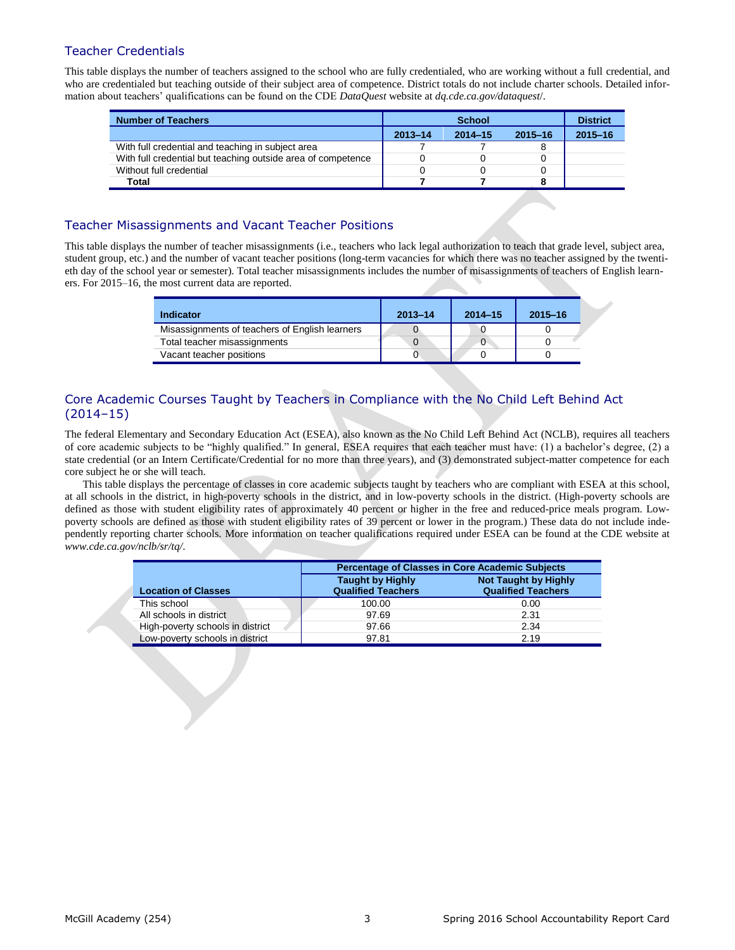## Teacher Credentials

This table displays the number of teachers assigned to the school who are fully credentialed, who are working without a full credential, and who are credentialed but teaching outside of their subject area of competence. District totals do not include charter schools. Detailed information about teachers' qualifications can be found on the CDE *DataQuest* website at *dq.cde.ca.gov/dataquest*/.

| <b>Number of Teachers</b>                                    |             | <b>School</b> |             | <b>District</b> |
|--------------------------------------------------------------|-------------|---------------|-------------|-----------------|
|                                                              | $2013 - 14$ | $2014 - 15$   | $2015 - 16$ | $2015 - 16$     |
| With full credential and teaching in subject area            |             |               |             |                 |
| With full credential but teaching outside area of competence |             |               |             |                 |
| Without full credential                                      |             |               |             |                 |
| <b>Total</b>                                                 |             |               |             |                 |

## Teacher Misassignments and Vacant Teacher Positions

This table displays the number of teacher misassignments (i.e., teachers who lack legal authorization to teach that grade level, subject area, student group, etc.) and the number of vacant teacher positions (long-term vacancies for which there was no teacher assigned by the twentieth day of the school year or semester). Total teacher misassignments includes the number of misassignments of teachers of English learners. For 2015–16, the most current data are reported.

| Indicator                                      | $2013 - 14$ | $2014 - 15$ | $2015 - 16$ |
|------------------------------------------------|-------------|-------------|-------------|
| Misassignments of teachers of English learners |             |             |             |
| Total teacher misassignments                   |             | υ           |             |
| Vacant teacher positions                       |             |             |             |

## Core Academic Courses Taught by Teachers in Compliance with the No Child Left Behind Act (2014–15)

The federal Elementary and Secondary Education Act (ESEA), also known as the No Child Left Behind Act (NCLB), requires all teachers of core academic subjects to be "highly qualified." In general, ESEA requires that each teacher must have: (1) a bachelor's degree, (2) a state credential (or an Intern Certificate/Credential for no more than three years), and (3) demonstrated subject-matter competence for each core subject he or she will teach.

This table displays the percentage of classes in core academic subjects taught by teachers who are compliant with ESEA at this school, at all schools in the district, in high-poverty schools in the district, and in low-poverty schools in the district. (High-poverty schools are defined as those with student eligibility rates of approximately 40 percent or higher in the free and reduced-price meals program. Lowpoverty schools are defined as those with student eligibility rates of 39 percent or lower in the program.) These data do not include independently reporting charter schools. More information on teacher qualifications required under ESEA can be found at the CDE website at *www.cde.ca.gov/nclb/sr/tq/*.

|             |                                  |                                                      | <b>Percentage of Classes in Core Academic Subjects</b>   |
|-------------|----------------------------------|------------------------------------------------------|----------------------------------------------------------|
|             | <b>Location of Classes</b>       | <b>Taught by Highly</b><br><b>Qualified Teachers</b> | <b>Not Taught by Highly</b><br><b>Qualified Teachers</b> |
| This school |                                  | 100.00                                               | 0.00                                                     |
|             | All schools in district          | 97.69                                                | 2.31                                                     |
|             | High-poverty schools in district | 97.66                                                | 2.34                                                     |
|             | Low-poverty schools in district  | 97.81                                                | 2.19                                                     |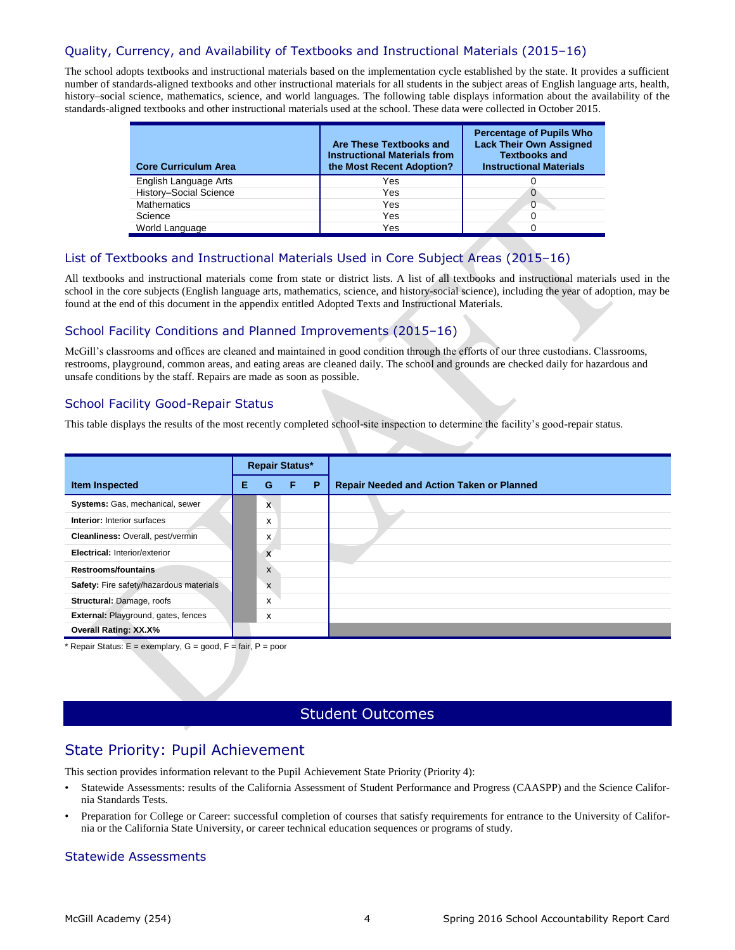## Quality, Currency, and Availability of Textbooks and Instructional Materials (2015–16)

The school adopts textbooks and instructional materials based on the implementation cycle established by the state. It provides a sufficient number of standards-aligned textbooks and other instructional materials for all students in the subject areas of English language arts, health, history–social science, mathematics, science, and world languages. The following table displays information about the availability of the standards-aligned textbooks and other instructional materials used at the school. These data were collected in October 2015.

| <b>Core Curriculum Area</b> | Are These Textbooks and<br><b>Instructional Materials from</b><br>the Most Recent Adoption? | <b>Percentage of Pupils Who</b><br><b>Lack Their Own Assigned</b><br><b>Textbooks and</b><br><b>Instructional Materials</b> |
|-----------------------------|---------------------------------------------------------------------------------------------|-----------------------------------------------------------------------------------------------------------------------------|
| English Language Arts       | Yes                                                                                         |                                                                                                                             |
| History-Social Science      | Yes                                                                                         | O                                                                                                                           |
| <b>Mathematics</b>          | Yes                                                                                         | 0                                                                                                                           |
| Science                     | Yes                                                                                         |                                                                                                                             |
| World Language              | Yes                                                                                         |                                                                                                                             |

#### List of Textbooks and Instructional Materials Used in Core Subject Areas (2015–16)

All textbooks and instructional materials come from state or district lists. A list of all textbooks and instructional materials used in the school in the core subjects (English language arts, mathematics, science, and history-social science), including the year of adoption, may be found at the end of this document in the appendix entitled Adopted Texts and Instructional Materials.

#### School Facility Conditions and Planned Improvements (2015–16)

McGill's classrooms and offices are cleaned and maintained in good condition through the efforts of our three custodians. Classrooms, restrooms, playground, common areas, and eating areas are cleaned daily. The school and grounds are checked daily for hazardous and unsafe conditions by the staff. Repairs are made as soon as possible.

#### School Facility Good-Repair Status

This table displays the results of the most recently completed school-site inspection to determine the facility's good-repair status.

|                                         | <b>Repair Status*</b> |   |   |   |                                                  |
|-----------------------------------------|-----------------------|---|---|---|--------------------------------------------------|
| <b>Item Inspected</b>                   | Е                     | G | F | P | <b>Repair Needed and Action Taken or Planned</b> |
| Systems: Gas, mechanical, sewer         |                       | X |   |   |                                                  |
| <b>Interior:</b> Interior surfaces      |                       | x |   |   |                                                  |
| Cleanliness: Overall, pest/vermin       |                       | x |   |   |                                                  |
| <b>Electrical: Interior/exterior</b>    |                       | X |   |   |                                                  |
| Restrooms/fountains                     |                       | X |   |   |                                                  |
| Safety: Fire safety/hazardous materials |                       | X |   |   |                                                  |
| Structural: Damage, roofs               |                       | X |   |   |                                                  |
| External: Playground, gates, fences     |                       | x |   |   |                                                  |
| <b>Overall Rating: XX.X%</b>            |                       |   |   |   |                                                  |

\* Repair Status: E = exemplary, G = good, F = fair, P = poor

## Student Outcomes

## State Priority: Pupil Achievement

This section provides information relevant to the Pupil Achievement State Priority (Priority 4):

- Statewide Assessments: results of the California Assessment of Student Performance and Progress (CAASPP) and the Science California Standards Tests.
- Preparation for College or Career: successful completion of courses that satisfy requirements for entrance to the University of California or the California State University, or career technical education sequences or programs of study.

#### Statewide Assessments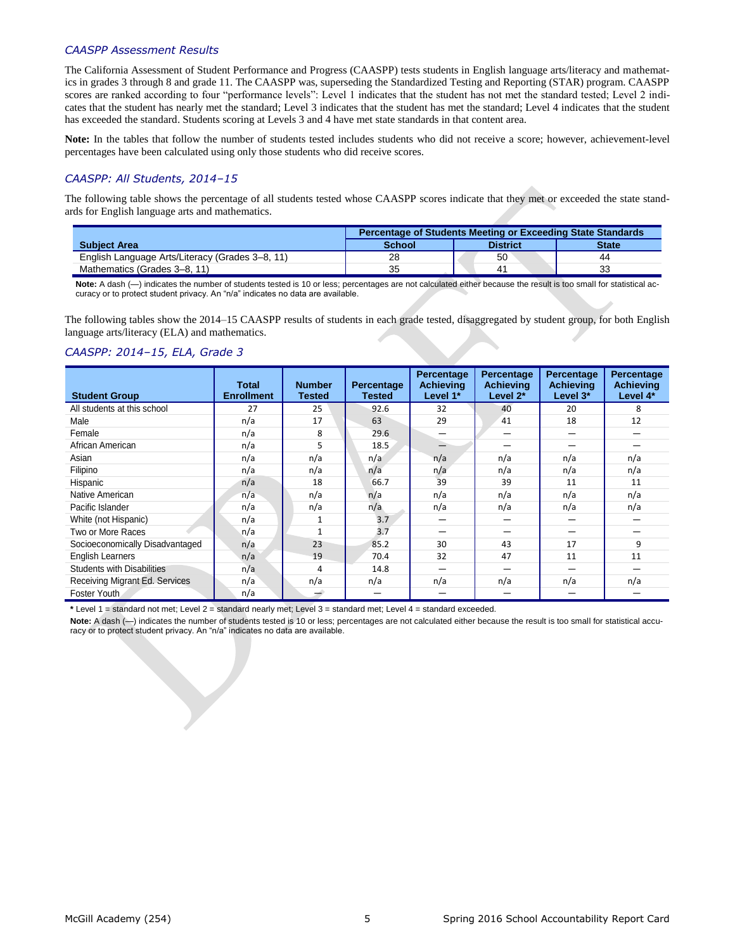#### *CAASPP Assessment Results*

The California Assessment of Student Performance and Progress (CAASPP) tests students in English language arts/literacy and mathematics in grades 3 through 8 and grade 11. The CAASPP was, superseding the Standardized Testing and Reporting (STAR) program. CAASPP scores are ranked according to four "performance levels": Level 1 indicates that the student has not met the standard tested; Level 2 indicates that the student has nearly met the standard; Level 3 indicates that the student has met the standard; Level 4 indicates that the student has exceeded the standard. Students scoring at Levels 3 and 4 have met state standards in that content area.

**Note:** In the tables that follow the number of students tested includes students who did not receive a score; however, achievement-level percentages have been calculated using only those students who did receive scores.

#### *CAASPP: All Students, 2014–15*

The following table shows the percentage of all students tested whose CAASPP scores indicate that they met or exceeded the state standards for English language arts and mathematics.

|                                                 | <b>Percentage of Students Meeting or Exceeding State Standards</b> |                 |              |  |  |  |  |  |
|-------------------------------------------------|--------------------------------------------------------------------|-----------------|--------------|--|--|--|--|--|
| <b>Subject Area</b>                             | <b>School</b>                                                      | <b>District</b> | <b>State</b> |  |  |  |  |  |
| English Language Arts/Literacy (Grades 3–8, 11) | 28                                                                 | 50              | 44           |  |  |  |  |  |
| Mathematics (Grades 3–8, 11)                    | 35                                                                 | 4.              | 33           |  |  |  |  |  |

Note: A dash (-) indicates the number of students tested is 10 or less; percentages are not calculated either because the result is too small for statistical accuracy or to protect student privacy. An "n/a" indicates no data are available.

The following tables show the 2014–15 CAASPP results of students in each grade tested, disaggregated by student group, for both English language arts/literacy (ELA) and mathematics.

#### *CAASPP: 2014–15, ELA, Grade 3*

| <b>Student Group</b>              | <b>Total</b><br><b>Enrollment</b> | <b>Number</b><br><b>Tested</b> | <b>Percentage</b><br>Tested | Percentage<br>Achievina<br>Level 1* | Percentage<br>Achievina<br>Level 2* | Percentage<br>Achievina<br>Level 3* | Percentage<br><b>Achieving</b><br>Level 4* |
|-----------------------------------|-----------------------------------|--------------------------------|-----------------------------|-------------------------------------|-------------------------------------|-------------------------------------|--------------------------------------------|
| All students at this school       | 27                                | 25                             | 92.6                        | 32                                  | 40                                  | 20                                  | 8                                          |
| Male                              | n/a                               | 17                             | 63                          | 29                                  | 41                                  | 18                                  | 12                                         |
| Female                            | n/a                               | 8                              | 29.6                        | —                                   |                                     |                                     |                                            |
| African American                  | n/a                               | 5                              | 18.5                        | ≐                                   |                                     |                                     |                                            |
| Asian                             | n/a                               | n/a                            | n/a                         | n/a                                 | n/a                                 | n/a                                 | n/a                                        |
| Filipino                          | n/a                               | n/a                            | n/a                         | n/a                                 | n/a                                 | n/a                                 | n/a                                        |
| Hispanic                          | n/a                               | 18                             | 66.7                        | 39                                  | 39                                  | 11                                  | 11                                         |
| Native American                   | n/a                               | n/a                            | n/a                         | n/a                                 | n/a                                 | n/a                                 | n/a                                        |
| Pacific Islander                  | n/a                               | n/a                            | n/a                         | n/a                                 | n/a                                 | n/a                                 | n/a                                        |
| White (not Hispanic)              | n/a                               |                                | 3.7                         |                                     |                                     |                                     |                                            |
| Two or More Races                 | n/a                               | $\mathbf{1}$                   | 3.7                         |                                     | –                                   |                                     |                                            |
| Socioeconomically Disadvantaged   | n/a                               | 23                             | 85.2                        | 30                                  | 43                                  | 17                                  | 9                                          |
| <b>English Learners</b>           | n/a                               | 19                             | 70.4                        | 32                                  | 47                                  | 11                                  | 11                                         |
| <b>Students with Disabilities</b> | n/a                               | 4                              | 14.8                        | —                                   |                                     | –                                   |                                            |
| Receiving Migrant Ed. Services    | n/a                               | n/a                            | n/a                         | n/a                                 | n/a                                 | n/a                                 | n/a                                        |
| Foster Youth.                     | n/a                               | ے                              |                             |                                     |                                     |                                     |                                            |

**\*** Level 1 = standard not met; Level 2 = standard nearly met; Level 3 = standard met; Level 4 = standard exceeded.

Note: A dash (-) indicates the number of students tested is 10 or less; percentages are not calculated either because the result is too small for statistical accuracy or to protect student privacy. An "n/a" indicates no data are available.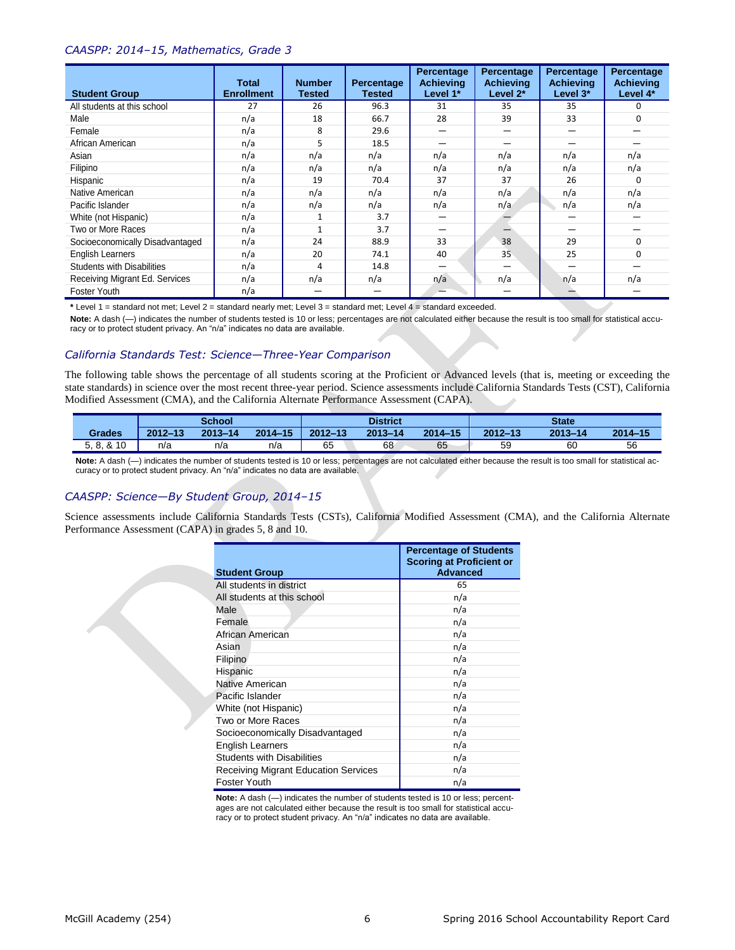#### *CAASPP: 2014–15, Mathematics, Grade 3*

| <b>Student Group</b>              | <b>Total</b><br><b>Enrollment</b> | <b>Number</b><br><b>Tested</b> | Percentage<br><b>Tested</b> | Percentage<br><b>Achievina</b><br>Level 1* | Percentage<br><b>Achieving</b><br>Level 2* | Percentage<br><b>Achieving</b><br>Level 3* | Percentage<br><b>Achieving</b><br>Level 4* |
|-----------------------------------|-----------------------------------|--------------------------------|-----------------------------|--------------------------------------------|--------------------------------------------|--------------------------------------------|--------------------------------------------|
| All students at this school       | 27                                | 26                             | 96.3                        | 31                                         | 35                                         | 35                                         | $\Omega$                                   |
| Male                              | n/a                               | 18                             | 66.7                        | 28                                         | 39                                         | 33                                         | 0                                          |
| Female                            | n/a                               | 8                              | 29.6                        | —                                          |                                            | –                                          |                                            |
| African American                  | n/a                               | 5                              | 18.5                        | -                                          |                                            |                                            |                                            |
| Asian                             | n/a                               | n/a                            | n/a                         | n/a                                        | n/a                                        | n/a                                        | n/a                                        |
| Filipino                          | n/a                               | n/a                            | n/a                         | n/a                                        | n/a                                        | n/a                                        | n/a                                        |
| Hispanic                          | n/a                               | 19                             | 70.4                        | 37                                         | 37                                         | 26                                         | $\Omega$                                   |
| Native American                   | n/a                               | n/a                            | n/a                         | n/a                                        | n/a                                        | n/a                                        | n/a                                        |
| Pacific Islander                  | n/a                               | n/a                            | n/a                         | n/a                                        | n/a                                        | n/a                                        | n/a                                        |
| White (not Hispanic)              | n/a                               |                                | 3.7                         | -                                          |                                            |                                            |                                            |
| Two or More Races                 | n/a                               | $\mathbf{1}$                   | 3.7                         | —                                          |                                            |                                            |                                            |
| Socioeconomically Disadvantaged   | n/a                               | 24                             | 88.9                        | 33                                         | 38                                         | 29                                         | $\Omega$                                   |
| <b>English Learners</b>           | n/a                               | 20                             | 74.1                        | 40                                         | 35                                         | 25                                         | $\Omega$                                   |
| <b>Students with Disabilities</b> | n/a                               | 4                              | 14.8                        | —                                          |                                            |                                            |                                            |
| Receiving Migrant Ed. Services    | n/a                               | n/a                            | n/a                         | n/a                                        | n/a                                        | n/a                                        | n/a                                        |
| Foster Youth                      | n/a                               | –                              | —                           |                                            |                                            | —                                          |                                            |

**\*** Level 1 = standard not met; Level 2 = standard nearly met; Level 3 = standard met; Level 4 = standard exceeded.

Note: A dash (-) indicates the number of students tested is 10 or less; percentages are not calculated either because the result is too small for statistical accuracy or to protect student privacy. An "n/a" indicates no data are available.

#### *California Standards Test: Science—Three-Year Comparison*

The following table shows the percentage of all students scoring at the Proficient or Advanced levels (that is, meeting or exceeding the state standards) in science over the most recent three-year period. Science assessments include California Standards Tests (CST), California Modified Assessment (CMA), and the California Alternate Performance Assessment (CAPA).

|               | <b>School</b> |             |             | <b>District</b> |             |             | <b>State</b> |             |         |
|---------------|---------------|-------------|-------------|-----------------|-------------|-------------|--------------|-------------|---------|
| <b>Grades</b> | $2012 - 13$   | $2013 - 14$ | $2014 - 15$ | $2012 - 13$     | $2013 - 14$ | $2014 - 15$ | $2012 - 13$  | $2013 - 14$ | 2014-15 |
| 5, 8, 8, 10   | n/a           | n/a         | n/a         | 65              | 68          | 65          | 59           | 60          | 56      |

**Note:** A dash (—) indicates the number of students tested is 10 or less; percentages are not calculated either because the result is too small for statistical accuracy or to protect student privacy. An "n/a" indicates no data are available.

#### *CAASPP: Science—By Student Group, 2014–15*

Science assessments include California Standards Tests (CSTs), California Modified Assessment (CMA), and the California Alternate Performance Assessment (CAPA) in grades 5, 8 and 10.

| <b>Student Group</b>                        | <b>Percentage of Students</b><br><b>Scoring at Proficient or</b><br><b>Advanced</b> |
|---------------------------------------------|-------------------------------------------------------------------------------------|
| All students in district                    | 65                                                                                  |
| All students at this school                 | n/a                                                                                 |
| Male                                        | n/a                                                                                 |
| Female                                      | n/a                                                                                 |
| African American                            | n/a                                                                                 |
| Asian                                       | n/a                                                                                 |
| Filipino                                    | n/a                                                                                 |
| Hispanic                                    | n/a                                                                                 |
| Native American                             | n/a                                                                                 |
| Pacific Islander                            | n/a                                                                                 |
| White (not Hispanic)                        | n/a                                                                                 |
| Two or More Races                           | n/a                                                                                 |
| Socioeconomically Disadvantaged             | n/a                                                                                 |
| <b>English Learners</b>                     | n/a                                                                                 |
| <b>Students with Disabilities</b>           | n/a                                                                                 |
| <b>Receiving Migrant Education Services</b> | n/a                                                                                 |
| Foster Youth                                | n/a                                                                                 |

**Note:** A dash (—) indicates the number of students tested is 10 or less; percentages are not calculated either because the result is too small for statistical accuracy or to protect student privacy. An "n/a" indicates no data are available.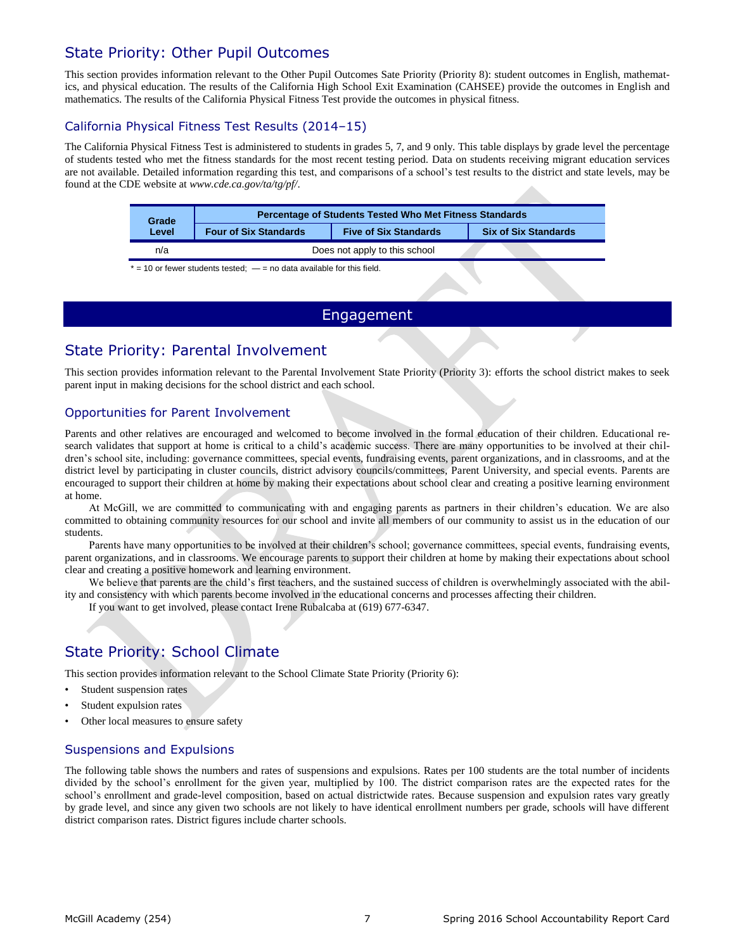## State Priority: Other Pupil Outcomes

This section provides information relevant to the Other Pupil Outcomes Sate Priority (Priority 8): student outcomes in English, mathematics, and physical education. The results of the California High School Exit Examination (CAHSEE) provide the outcomes in English and mathematics. The results of the California Physical Fitness Test provide the outcomes in physical fitness.

#### California Physical Fitness Test Results (2014–15)

The California Physical Fitness Test is administered to students in grades 5, 7, and 9 only. This table displays by grade level the percentage of students tested who met the fitness standards for the most recent testing period. Data on students receiving migrant education services are not available. Detailed information regarding this test, and comparisons of a school's test results to the district and state levels, may be found at the CDE website at *www.cde.ca.gov/ta/tg/pf/*.

| Grade | <b>Percentage of Students Tested Who Met Fitness Standards</b>                              |                               |  |  |  |  |
|-------|---------------------------------------------------------------------------------------------|-------------------------------|--|--|--|--|
| Level | <b>Five of Six Standards</b><br><b>Six of Six Standards</b><br><b>Four of Six Standards</b> |                               |  |  |  |  |
| n/a   |                                                                                             | Does not apply to this school |  |  |  |  |

 $* = 10$  or fewer students tested;  $- =$  no data available for this field.

## Engagement

## State Priority: Parental Involvement

This section provides information relevant to the Parental Involvement State Priority (Priority 3): efforts the school district makes to seek parent input in making decisions for the school district and each school.

## Opportunities for Parent Involvement

Parents and other relatives are encouraged and welcomed to become involved in the formal education of their children. Educational research validates that support at home is critical to a child's academic success. There are many opportunities to be involved at their children's school site, including: governance committees, special events, fundraising events, parent organizations, and in classrooms, and at the district level by participating in cluster councils, district advisory councils/committees, Parent University, and special events. Parents are encouraged to support their children at home by making their expectations about school clear and creating a positive learning environment at home.

At McGill, we are committed to communicating with and engaging parents as partners in their children's education. We are also committed to obtaining community resources for our school and invite all members of our community to assist us in the education of our students.

Parents have many opportunities to be involved at their children's school; governance committees, special events, fundraising events, parent organizations, and in classrooms. We encourage parents to support their children at home by making their expectations about school clear and creating a positive homework and learning environment.

We believe that parents are the child's first teachers, and the sustained success of children is overwhelmingly associated with the ability and consistency with which parents become involved in the educational concerns and processes affecting their children.

If you want to get involved, please contact Irene Rubalcaba at (619) 677-6347.

# State Priority: School Climate

This section provides information relevant to the School Climate State Priority (Priority 6):

- Student suspension rates
- Student expulsion rates
- Other local measures to ensure safety

## Suspensions and Expulsions

The following table shows the numbers and rates of suspensions and expulsions. Rates per 100 students are the total number of incidents divided by the school's enrollment for the given year, multiplied by 100. The district comparison rates are the expected rates for the school's enrollment and grade-level composition, based on actual districtwide rates. Because suspension and expulsion rates vary greatly by grade level, and since any given two schools are not likely to have identical enrollment numbers per grade, schools will have different district comparison rates. District figures include charter schools.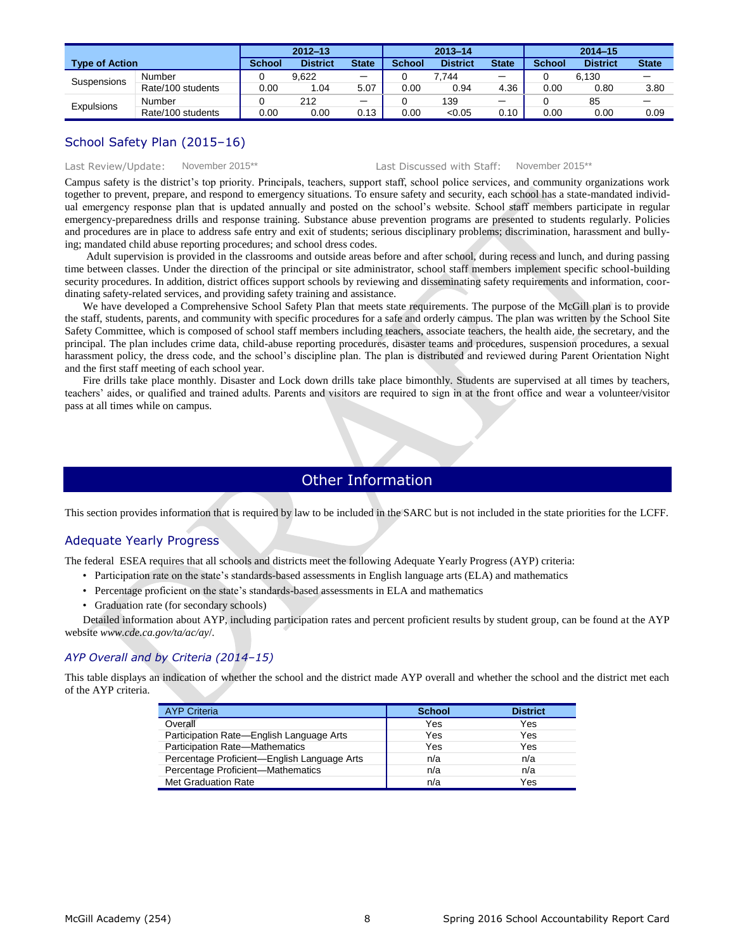|                       |                   | $2012 - 13$   |                 | 2013-14      |               |                 | $2014 - 15$  |               |                 |              |
|-----------------------|-------------------|---------------|-----------------|--------------|---------------|-----------------|--------------|---------------|-----------------|--------------|
| <b>Type of Action</b> |                   | <b>School</b> | <b>District</b> | <b>State</b> | <b>School</b> | <b>District</b> | <b>State</b> | <b>School</b> | <b>District</b> | <b>State</b> |
| Suspensions           | Number            |               | 9.622           | —            |               | 7.744           | —            |               | 6.130           |              |
|                       | Rate/100 students | 0.00          | .04             | 5.07         | 0.00          | 0.94            | 4.36         | 0.00          | 0.80            | 3.80         |
| <b>Expulsions</b>     | Number            |               | 212             | —            |               | 139             | —            |               | 85              |              |
|                       | Rate/100 students | 0.00          | 0.00            | 0.13         | 0.00          | < 0.05          | 0.10         | 0.00          | 0.00            | 0.09         |

#### School Safety Plan (2015–16)

#### Last Review/Update: November 2015\*\* Last Discussed with Staff: November 2015\*\*

Campus safety is the district's top priority. Principals, teachers, support staff, school police services, and community organizations work together to prevent, prepare, and respond to emergency situations. To ensure safety and security, each school has a state-mandated individual emergency response plan that is updated annually and posted on the school's website. School staff members participate in regular emergency-preparedness drills and response training. Substance abuse prevention programs are presented to students regularly. Policies and procedures are in place to address safe entry and exit of students; serious disciplinary problems; discrimination, harassment and bullying; mandated child abuse reporting procedures; and school dress codes.

Adult supervision is provided in the classrooms and outside areas before and after school, during recess and lunch, and during passing time between classes. Under the direction of the principal or site administrator, school staff members implement specific school-building security procedures. In addition, district offices support schools by reviewing and disseminating safety requirements and information, coordinating safety-related services, and providing safety training and assistance.

We have developed a Comprehensive School Safety Plan that meets state requirements. The purpose of the McGill plan is to provide the staff, students, parents, and community with specific procedures for a safe and orderly campus. The plan was written by the School Site Safety Committee, which is composed of school staff members including teachers, associate teachers, the health aide, the secretary, and the principal. The plan includes crime data, child-abuse reporting procedures, disaster teams and procedures, suspension procedures, a sexual harassment policy, the dress code, and the school's discipline plan. The plan is distributed and reviewed during Parent Orientation Night and the first staff meeting of each school year.

Fire drills take place monthly. Disaster and Lock down drills take place bimonthly. Students are supervised at all times by teachers, teachers' aides, or qualified and trained adults. Parents and visitors are required to sign in at the front office and wear a volunteer/visitor pass at all times while on campus.

## Other Information

This section provides information that is required by law to be included in the SARC but is not included in the state priorities for the LCFF.

## Adequate Yearly Progress

The federal ESEA requires that all schools and districts meet the following Adequate Yearly Progress (AYP) criteria:

- Participation rate on the state's standards-based assessments in English language arts (ELA) and mathematics
- Percentage proficient on the state's standards-based assessments in ELA and mathematics
- Graduation rate (for secondary schools)

Detailed information about AYP, including participation rates and percent proficient results by student group, can be found at the AYP website *www.cde.ca.gov/ta/ac/ay*/.

#### *AYP Overall and by Criteria (2014–15)*

This table displays an indication of whether the school and the district made AYP overall and whether the school and the district met each of the AYP criteria.

| <b>AYP Criteria</b>                         | <b>School</b> | <b>District</b> |
|---------------------------------------------|---------------|-----------------|
| Overall                                     | Yes           | Yes             |
| Participation Rate-English Language Arts    | Yes           | Yes             |
| <b>Participation Rate-Mathematics</b>       | Yes           | Yes             |
| Percentage Proficient-English Language Arts | n/a           | n/a             |
| Percentage Proficient-Mathematics           | n/a           | n/a             |
| Met Graduation Rate                         | n/a           | Yes             |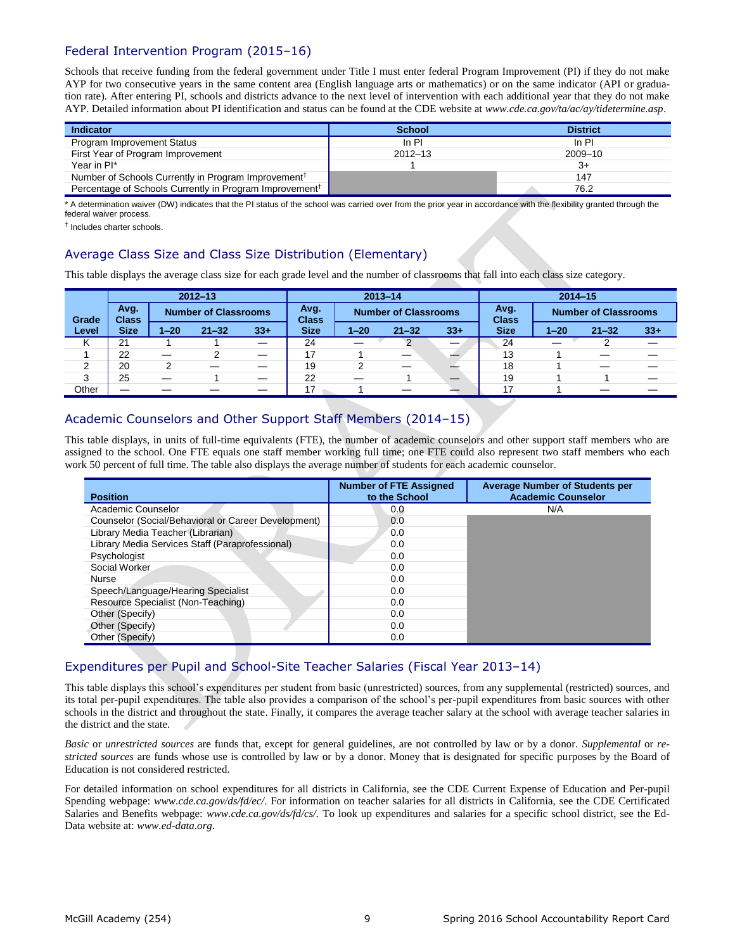## Federal Intervention Program (2015–16)

Schools that receive funding from the federal government under Title I must enter federal Program Improvement (PI) if they do not make AYP for two consecutive years in the same content area (English language arts or mathematics) or on the same indicator (API or graduation rate). After entering PI, schools and districts advance to the next level of intervention with each additional year that they do not make AYP. Detailed information about PI identification and status can be found at the CDE website at *www.cde.ca.gov/ta/ac/ay/tidetermine.asp*.

| Indicator                                                           | <b>School</b> | <b>District</b> |
|---------------------------------------------------------------------|---------------|-----------------|
| <b>Program Improvement Status</b>                                   | In PI         | In PI           |
| First Year of Program Improvement                                   | $2012 - 13$   | 2009-10         |
| Year in PI*                                                         |               | $3+$            |
| Number of Schools Currently in Program Improvement <sup>†</sup>     |               | 147             |
| Percentage of Schools Currently in Program Improvement <sup>†</sup> |               | 76.2            |

\* A determination waiver (DW) indicates that the PI status of the school was carried over from the prior year in accordance with the flexibility granted through the federal waiver process.

† Includes charter schools.

## Average Class Size and Class Size Distribution (Elementary)

This table displays the average class size for each grade level and the number of classrooms that fall into each class size category.

|       |                      |                             | $2012 - 13$ |                          | $2013 - 14$                                         |          |                      |        | $2014 - 15$                 |          |           |       |
|-------|----------------------|-----------------------------|-------------|--------------------------|-----------------------------------------------------|----------|----------------------|--------|-----------------------------|----------|-----------|-------|
| Grade | Avg.<br><b>Class</b> | <b>Number of Classrooms</b> |             |                          | Avg.<br><b>Number of Classrooms</b><br><b>Class</b> |          | Avg.<br><b>Class</b> |        | <b>Number of Classrooms</b> |          |           |       |
| Level | <b>Size</b>          | $1 - 20$                    | $21 - 32$   | $33 +$                   | <b>Size</b>                                         | $1 - 20$ | $21 - 32$            | $33 +$ | <b>Size</b>                 | $1 - 20$ | $21 - 32$ | $33+$ |
| K     | 21                   |                             |             | $\overline{\phantom{0}}$ | 24                                                  |          | $\mathcal{P}$        |        | 24                          |          |           |       |
|       | 22                   |                             | າ           |                          | 17                                                  |          |                      |        | 13                          |          |           |       |
| 2     | 20                   |                             |             |                          | 19                                                  | っ        |                      |        | 18                          |          |           |       |
| 3     | 25                   |                             |             | $\overline{\phantom{0}}$ | 22                                                  |          |                      |        | 19                          |          |           |       |
| Other |                      |                             |             |                          | 17 <sup>1</sup>                                     |          |                      |        | 17                          |          |           |       |

## Academic Counselors and Other Support Staff Members (2014–15)

This table displays, in units of full-time equivalents (FTE), the number of academic counselors and other support staff members who are assigned to the school. One FTE equals one staff member working full time; one FTE could also represent two staff members who each work 50 percent of full time. The table also displays the average number of students for each academic counselor.

| <b>Position</b>                                     | <b>Number of FTE Assigned</b><br>to the School | <b>Average Number of Students per</b><br><b>Academic Counselor</b> |
|-----------------------------------------------------|------------------------------------------------|--------------------------------------------------------------------|
| Academic Counselor                                  | 0.0                                            | N/A                                                                |
| Counselor (Social/Behavioral or Career Development) | 0.0                                            |                                                                    |
| Library Media Teacher (Librarian)                   | 0.0                                            |                                                                    |
| Library Media Services Staff (Paraprofessional)     | 0.0                                            |                                                                    |
| Psychologist                                        | 0.0                                            |                                                                    |
| Social Worker                                       | 0.0                                            |                                                                    |
| Nurse                                               | 0.0                                            |                                                                    |
| Speech/Language/Hearing Specialist                  | 0.0                                            |                                                                    |
| Resource Specialist (Non-Teaching)                  | 0.0                                            |                                                                    |
| Other (Specify)                                     | 0.0                                            |                                                                    |
| Other (Specify)                                     | 0.0                                            |                                                                    |
| Other (Specify)                                     | 0.0                                            |                                                                    |

## Expenditures per Pupil and School-Site Teacher Salaries (Fiscal Year 2013–14)

This table displays this school's expenditures per student from basic (unrestricted) sources, from any supplemental (restricted) sources, and its total per-pupil expenditures. The table also provides a comparison of the school's per-pupil expenditures from basic sources with other schools in the district and throughout the state. Finally, it compares the average teacher salary at the school with average teacher salaries in the district and the state.

*Basic* or *unrestricted sources* are funds that, except for general guidelines, are not controlled by law or by a donor. *Supplemental* or *restricted sources* are funds whose use is controlled by law or by a donor. Money that is designated for specific purposes by the Board of Education is not considered restricted.

For detailed information on school expenditures for all districts in California, see the CDE Current Expense of Education and Per-pupil Spending webpage: *www.cde.ca.gov/ds/fd/ec/*. For information on teacher salaries for all districts in California, see the CDE Certificated Salaries and Benefits webpage: *www.cde.ca.gov/ds/fd/cs/.* To look up expenditures and salaries for a specific school district, see the Ed-Data website at: *www.ed-data.org*.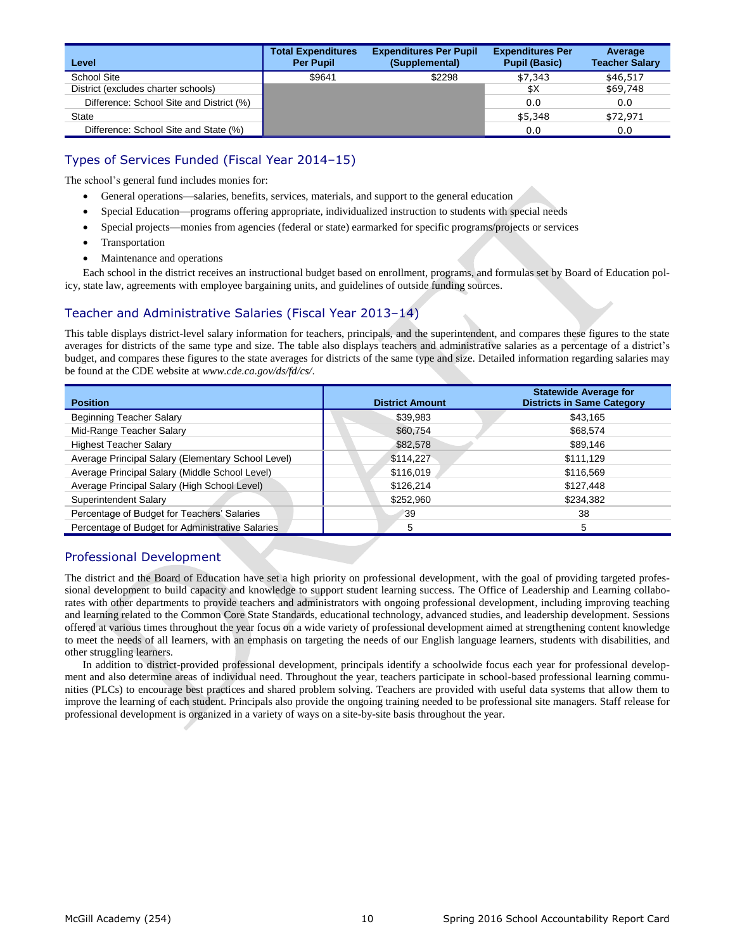| Level                                    | <b>Total Expenditures</b><br><b>Per Pupil</b> | <b>Expenditures Per Pupil</b><br>(Supplemental) | <b>Expenditures Per</b><br><b>Pupil (Basic)</b> | Average<br><b>Teacher Salary</b> |
|------------------------------------------|-----------------------------------------------|-------------------------------------------------|-------------------------------------------------|----------------------------------|
| School Site                              | \$9641                                        | \$2298                                          | \$7,343                                         | \$46,517                         |
| District (excludes charter schools)      |                                               |                                                 | \$Χ                                             | \$69,748                         |
| Difference: School Site and District (%) |                                               |                                                 | 0.0                                             | 0.0                              |
| <b>State</b>                             |                                               |                                                 | \$5,348                                         | \$72,971                         |
| Difference: School Site and State (%)    |                                               |                                                 | 0.0                                             | 0.0                              |

## Types of Services Funded (Fiscal Year 2014–15)

The school's general fund includes monies for:

- General operations—salaries, benefits, services, materials, and support to the general education
- Special Education—programs offering appropriate, individualized instruction to students with special needs
- Special projects—monies from agencies (federal or state) earmarked for specific programs/projects or services
- **Transportation**
- Maintenance and operations

Each school in the district receives an instructional budget based on enrollment, programs, and formulas set by Board of Education policy, state law, agreements with employee bargaining units, and guidelines of outside funding sources.

## Teacher and Administrative Salaries (Fiscal Year 2013–14)

This table displays district-level salary information for teachers, principals, and the superintendent, and compares these figures to the state averages for districts of the same type and size. The table also displays teachers and administrative salaries as a percentage of a district's budget, and compares these figures to the state averages for districts of the same type and size. Detailed information regarding salaries may be found at the CDE website at *[www.cde.ca.gov/ds/fd/cs/](http://www.cde.ca.gov/ds/fd/cs/)*.

| <b>Position</b>                                    | <b>District Amount</b> | <b>Statewide Average for</b><br><b>Districts in Same Category</b> |
|----------------------------------------------------|------------------------|-------------------------------------------------------------------|
| <b>Beginning Teacher Salary</b>                    | \$39,983               | \$43,165                                                          |
| Mid-Range Teacher Salary                           | \$60,754               | \$68,574                                                          |
| <b>Highest Teacher Salary</b>                      | \$82,578               | \$89,146                                                          |
| Average Principal Salary (Elementary School Level) | \$114,227              | \$111,129                                                         |
| Average Principal Salary (Middle School Level)     | \$116,019              | \$116,569                                                         |
| Average Principal Salary (High School Level)       | \$126,214              | \$127,448                                                         |
| Superintendent Salary                              | \$252,960              | \$234,382                                                         |
| Percentage of Budget for Teachers' Salaries        | 39                     | 38                                                                |
| Percentage of Budget for Administrative Salaries   | 5                      | 5                                                                 |

#### Professional Development

The district and the Board of Education have set a high priority on professional development, with the goal of providing targeted professional development to build capacity and knowledge to support student learning success. The Office of Leadership and Learning collaborates with other departments to provide teachers and administrators with ongoing professional development, including improving teaching and learning related to the Common Core State Standards, educational technology, advanced studies, and leadership development. Sessions offered at various times throughout the year focus on a wide variety of professional development aimed at strengthening content knowledge to meet the needs of all learners, with an emphasis on targeting the needs of our English language learners, students with disabilities, and other struggling learners.

In addition to district-provided professional development, principals identify a schoolwide focus each year for professional development and also determine areas of individual need. Throughout the year, teachers participate in school-based professional learning communities (PLCs) to encourage best practices and shared problem solving. Teachers are provided with useful data systems that allow them to improve the learning of each student. Principals also provide the ongoing training needed to be professional site managers. Staff release for professional development is organized in a variety of ways on a site-by-site basis throughout the year.